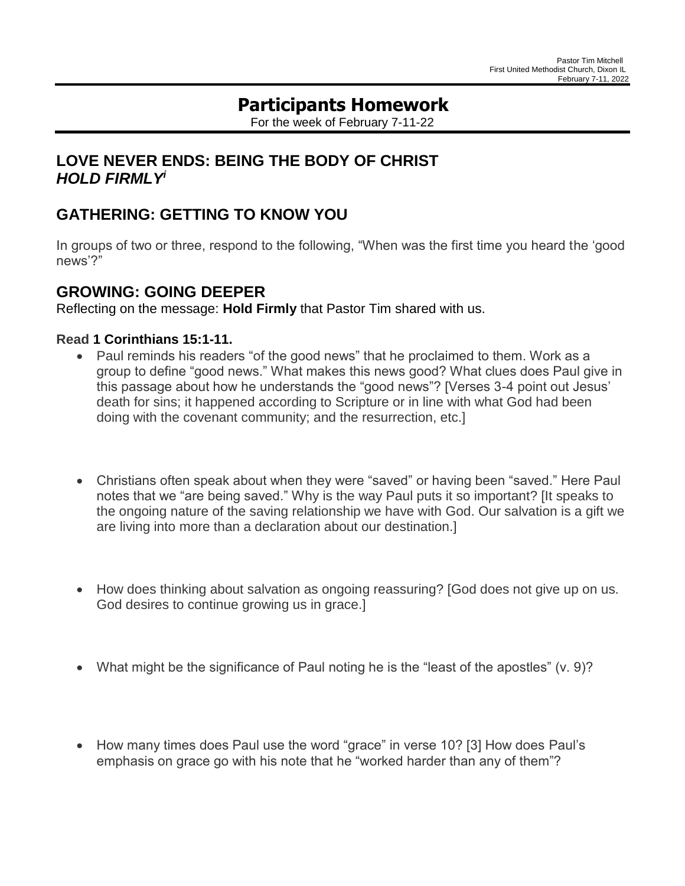# **Participants Homework**

For the week of February 7-11-22

## **LOVE NEVER ENDS: BEING THE BODY OF CHRIST** *HOLD FIRMLY<sup>i</sup>*

# **GATHERING: GETTING TO KNOW YOU**

In groups of two or three, respond to the following, "When was the first time you heard the 'good news'?"

### **GROWING: GOING DEEPER**

Reflecting on the message: **Hold Firmly** that Pastor Tim shared with us.

### **Read [1](https://lectionary.library.vanderbilt.edu/texts.php?id=95#hebrew_reading) Corinthians 15:1-11.**

- Paul reminds his readers "of the good news" that he proclaimed to them. Work as a group to define "good news." What makes this news good? What clues does Paul give in this passage about how he understands the "good news"? [Verses 3-4 point out Jesus' death for sins; it happened according to Scripture or in line with what God had been doing with the covenant community; and the resurrection, etc.]
- Christians often speak about when they were "saved" or having been "saved." Here Paul notes that we "are being saved." Why is the way Paul puts it so important? [It speaks to the ongoing nature of the saving relationship we have with God. Our salvation is a gift we are living into more than a declaration about our destination.]
- How does thinking about salvation as ongoing reassuring? [God does not give up on us. God desires to continue growing us in grace.]
- What might be the significance of Paul noting he is the "least of the apostles" (v. 9)?
- How many times does Paul use the word "grace" in verse 10? [3] How does Paul's emphasis on grace go with his note that he "worked harder than any of them"?